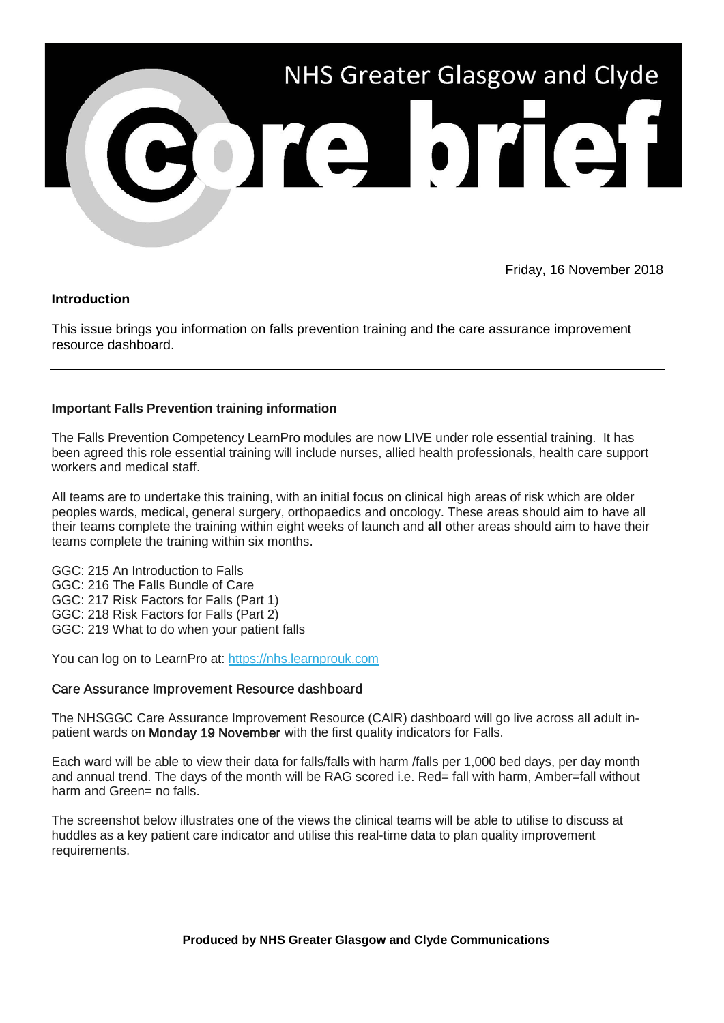

Friday, 16 November 2018

## **Introduction**

This issue brings you information on falls prevention training and the care assurance improvement resource dashboard.

## **Important Falls Prevention training information**

The Falls Prevention Competency LearnPro modules are now LIVE under role essential training. It has been agreed this role essential training will include nurses, allied health professionals, health care support workers and medical staff.

All teams are to undertake this training, with an initial focus on clinical high areas of risk which are older peoples wards, medical, general surgery, orthopaedics and oncology. These areas should aim to have all their teams complete the training within eight weeks of launch and **all** other areas should aim to have their teams complete the training within six months.

GGC: 215 An Introduction to Falls GGC: 216 The Falls Bundle of Care GGC: 217 Risk Factors for Falls (Part 1) GGC: 218 Risk Factors for Falls (Part 2) GGC: 219 What to do when your patient falls

You can log on to LearnPro at: [https://nhs.learnprouk.com](https://nhsggc.us12.list-manage.com/track/click?u=0f385b5aea37eaf0213bd19fb&id=ae7c5c25de&e=5af5e1832c)

## Care Assurance Improvement Resource dashboard

The NHSGGC Care Assurance Improvement Resource (CAIR) dashboard will go live across all adult inpatient wards on Monday 19 November with the first quality indicators for Falls.

Each ward will be able to view their data for falls/falls with harm /falls per 1,000 bed days, per day month and annual trend. The days of the month will be RAG scored i.e. Red= fall with harm, Amber=fall without harm and Green= no falls.

The screenshot below illustrates one of the views the clinical teams will be able to utilise to discuss at huddles as a key patient care indicator and utilise this real-time data to plan quality improvement requirements.